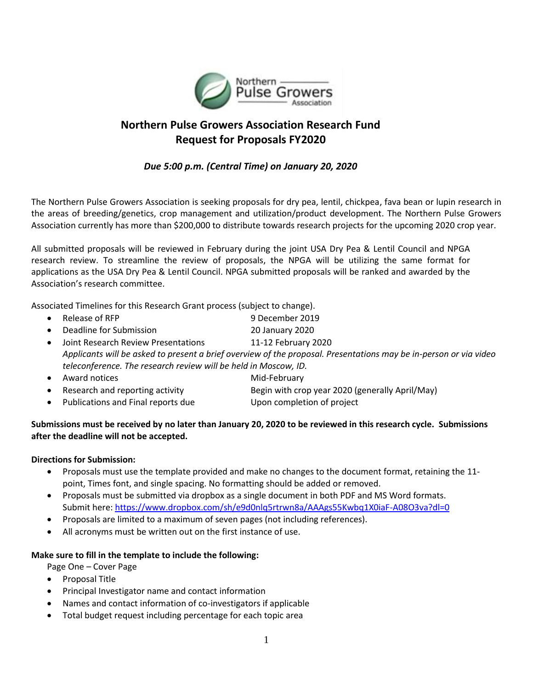

# **Northern Pulse Growers Association Research Fund Request for Proposals FY2020**

## *Due 5:00 p.m. (Central Time) on January 20, 2020*

The Northern Pulse Growers Association is seeking proposals for dry pea, lentil, chickpea, fava bean or lupin research in the areas of breeding/genetics, crop management and utilization/product development. The Northern Pulse Growers Association currently has more than \$200,000 to distribute towards research projects for the upcoming 2020 crop year.

All submitted proposals will be reviewed in February during the joint USA Dry Pea & Lentil Council and NPGA research review. To streamline the review of proposals, the NPGA will be utilizing the same format for applications as the USA Dry Pea & Lentil Council. NPGA submitted proposals will be ranked and awarded by the Association's research committee.

Associated Timelines for this Research Grant process (subject to change).

- Release of RFP 9 December 2019 • Deadline for Submission 20 January 2020 • Joint Research Review Presentations 11-12 February 2020 *Applicants will be asked to present a brief overview of the proposal. Presentations may be in-person or via video teleconference. The research review will be held in Moscow, ID.* • Award notices Mid-February
- Research and reporting activity Begin with crop year 2020 (generally April/May)
- Publications and Final reports due Upon completion of project
- 

#### **Submissions must be received by no later than January 20, 2020 to be reviewed in this research cycle. Submissions after the deadline will not be accepted.**

#### **Directions for Submission:**

- Proposals must use the template provided and make no changes to the document format, retaining the 11 point, Times font, and single spacing. No formatting should be added or removed.
- Proposals must be submitted via dropbox as a single document in both PDF and MS Word formats. Submit here:<https://www.dropbox.com/sh/e9d0nlq5rtrwn8a/AAAgs55Kwbq1X0iaF-A08O3va?dl=0>
- Proposals are limited to a maximum of seven pages (not including references).
- All acronyms must be written out on the first instance of use.

### **Make sure to fill in the template to include the following:**

Page One – Cover Page

- Proposal Title
- Principal Investigator name and contact information
- Names and contact information of co-investigators if applicable
- Total budget request including percentage for each topic area